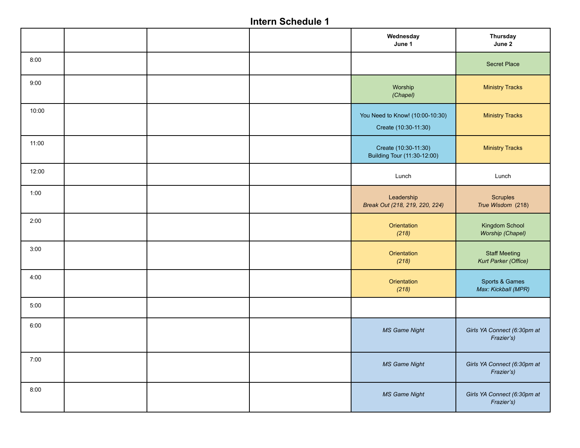|       |  | Wednesday<br>June 1                                     | <b>Thursday</b><br>June 2                    |
|-------|--|---------------------------------------------------------|----------------------------------------------|
| 8:00  |  |                                                         | <b>Secret Place</b>                          |
| 9:00  |  | Worship<br>(Chapel)                                     | <b>Ministry Tracks</b>                       |
| 10:00 |  | You Need to Know! (10:00-10:30)<br>Create (10:30-11:30) | <b>Ministry Tracks</b>                       |
| 11:00 |  | Create (10:30-11:30)<br>Building Tour (11:30-12:00)     | <b>Ministry Tracks</b>                       |
| 12:00 |  | Lunch                                                   | Lunch                                        |
| 1:00  |  | Leadership<br>Break Out (218, 219, 220, 224)            | Scruples<br>True Wisdom (218)                |
| 2:00  |  | Orientation<br>(218)                                    | Kingdom School<br>Worship (Chapel)           |
| 3:00  |  | Orientation<br>(218)                                    | <b>Staff Meeting</b><br>Kurt Parker (Office) |
| 4:00  |  | Orientation<br>(218)                                    | Sports & Games<br>Max: Kickball (MPR)        |
| 5:00  |  |                                                         |                                              |
| 6:00  |  | <b>MS Game Night</b>                                    | Girls YA Connect (6:30pm at<br>Frazier's)    |
| 7:00  |  | <b>MS Game Night</b>                                    | Girls YA Connect (6:30pm at<br>Frazier's)    |
| 8:00  |  | <b>MS Game Night</b>                                    | Girls YA Connect (6:30pm at<br>Frazier's)    |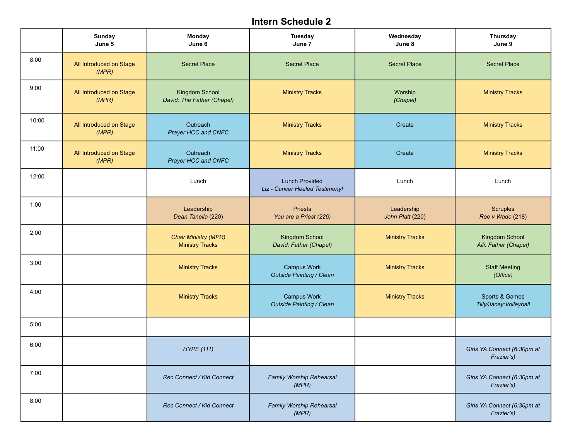|       | Sunday<br>June 5                 | Monday<br>June 6                                      | <b>Tuesday</b><br>June 7                                | Wednesday<br>June 8            | Thursday<br>June 9                        |
|-------|----------------------------------|-------------------------------------------------------|---------------------------------------------------------|--------------------------------|-------------------------------------------|
| 8:00  | All Introduced on Stage<br>(MPR) | <b>Secret Place</b>                                   | <b>Secret Place</b>                                     | <b>Secret Place</b>            | <b>Secret Place</b>                       |
| 9:00  | All Introduced on Stage<br>(MPR) | Kingdom School<br>David: The Father (Chapel)          | <b>Ministry Tracks</b>                                  | Worship<br>(Chapel)            | <b>Ministry Tracks</b>                    |
| 10:00 | All Introduced on Stage<br>(MPR) | Outreach<br>Prayer HCC and CNFC                       | <b>Ministry Tracks</b>                                  | Create                         | <b>Ministry Tracks</b>                    |
| 11:00 | All Introduced on Stage<br>(MPR) | Outreach<br>Prayer HCC and CNFC                       | <b>Ministry Tracks</b>                                  | Create                         | <b>Ministry Tracks</b>                    |
| 12:00 |                                  | Lunch                                                 | <b>Lunch Provided</b><br>Liz - Cancer Healed Testimony! | Lunch                          | Lunch                                     |
| 1:00  |                                  | Leadership<br>Dean Tanella (220)                      | <b>Priests</b><br>You are a Priest (226)                | Leadership<br>John Platt (220) | <b>Scruples</b><br>Roe v Wade (218)       |
| 2:00  |                                  | <b>Chair Ministry (MPR)</b><br><b>Ministry Tracks</b> | Kingdom School<br>David: Father (Chapel)                | <b>Ministry Tracks</b>         | Kingdom School<br>Alli: Father (Chapel)   |
| 3:00  |                                  | <b>Ministry Tracks</b>                                | <b>Campus Work</b><br>Outside Painting / Clean          | <b>Ministry Tracks</b>         | <b>Staff Meeting</b><br>(Office)          |
| 4:00  |                                  | <b>Ministry Tracks</b>                                | <b>Campus Work</b><br>Outside Painting / Clean          | <b>Ministry Tracks</b>         | Sports & Games<br>Tilly/Jacey: Volleyball |
| 5:00  |                                  |                                                       |                                                         |                                |                                           |
| 6:00  |                                  | <b>HYPE</b> (111)                                     |                                                         |                                | Girls YA Connect (6:30pm at<br>Frazier's) |
| 7:00  |                                  | Rec Connect / Kid Connect                             | Family Worship Rehearsal<br>(MPR)                       |                                | Girls YA Connect (6:30pm at<br>Frazier's) |
| 8:00  |                                  | Rec Connect / Kid Connect                             | Family Worship Rehearsal<br>(MPR)                       |                                | Girls YA Connect (6:30pm at<br>Frazier's) |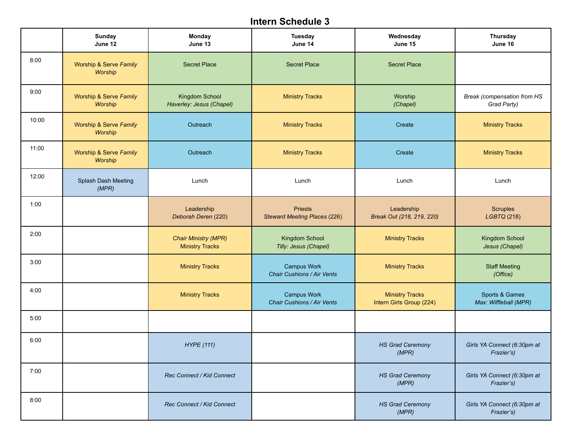|       | <b>Sunday</b><br>June 12          | Monday<br>June 13                                     | Tuesday<br>June 14                                      | Wednesday<br>June 15                               | Thursday<br>June 16                        |
|-------|-----------------------------------|-------------------------------------------------------|---------------------------------------------------------|----------------------------------------------------|--------------------------------------------|
| 8:00  | Worship & Serve Family<br>Worship | <b>Secret Place</b>                                   | <b>Secret Place</b>                                     | <b>Secret Place</b>                                |                                            |
| 9:00  | Worship & Serve Family<br>Worship | Kingdom School<br>Haverley: Jesus (Chapel)            | <b>Ministry Tracks</b>                                  | Worship<br>(Chapel)                                | Break (compensation from HS<br>Grad Party) |
| 10:00 | Worship & Serve Family<br>Worship | Outreach                                              | <b>Ministry Tracks</b>                                  | Create                                             | <b>Ministry Tracks</b>                     |
| 11:00 | Worship & Serve Family<br>Worship | Outreach                                              | <b>Ministry Tracks</b>                                  | Create                                             | <b>Ministry Tracks</b>                     |
| 12:00 | Splash Dash Meeting<br>(MPR)      | Lunch                                                 | Lunch                                                   | Lunch                                              | Lunch                                      |
| 1:00  |                                   | Leadership<br>Deborah Deren (220)                     | <b>Priests</b><br><b>Steward Meeting Places (226)</b>   | Leadership<br>Break Out (218, 219, 220)            | <b>Scruples</b><br>LGBTQ (218)             |
| 2:00  |                                   | <b>Chair Ministry (MPR)</b><br><b>Ministry Tracks</b> | Kingdom School<br>Tilly: Jesus (Chapel)                 | <b>Ministry Tracks</b>                             | Kingdom School<br>Jesus (Chapel)           |
| 3:00  |                                   | <b>Ministry Tracks</b>                                | <b>Campus Work</b><br>Chair Cushions / Air Vents        | <b>Ministry Tracks</b>                             | <b>Staff Meeting</b><br>(Office)           |
| 4:00  |                                   | <b>Ministry Tracks</b>                                | <b>Campus Work</b><br><b>Chair Cushions / Air Vents</b> | <b>Ministry Tracks</b><br>Intern Girls Group (224) | Sports & Games<br>Max: Wiffleball (MPR)    |
| 5:00  |                                   |                                                       |                                                         |                                                    |                                            |
| 6:00  |                                   | <b>HYPE</b> (111)                                     |                                                         | <b>HS Grad Ceremony</b><br>(MPR)                   | Girls YA Connect (6:30pm at<br>Frazier's)  |
| 7:00  |                                   | Rec Connect / Kid Connect                             |                                                         | <b>HS Grad Ceremony</b><br>(MPR)                   | Girls YA Connect (6:30pm at<br>Frazier's)  |
| 8:00  |                                   | Rec Connect / Kid Connect                             |                                                         | <b>HS Grad Ceremony</b><br>(MPR)                   | Girls YA Connect (6:30pm at<br>Frazier's)  |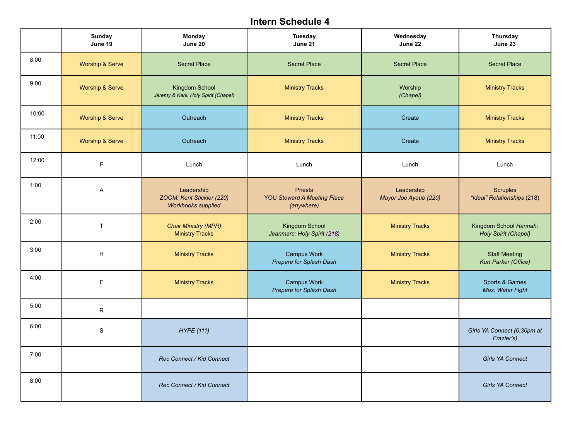|       | <b>Sunday</b><br>June 19   | <b>Monday</b><br>June 20                                             | Tuesday<br>June 21                                                 | Wednesday<br>June 22                | <b>Thursday</b><br>June 23                     |
|-------|----------------------------|----------------------------------------------------------------------|--------------------------------------------------------------------|-------------------------------------|------------------------------------------------|
| 8:00  | <b>Worship &amp; Serve</b> | <b>Secret Place</b>                                                  | <b>Secret Place</b>                                                | <b>Secret Place</b>                 | <b>Secret Place</b>                            |
| 9:00  | <b>Worship &amp; Serve</b> | Kingdom School<br>Jeremy & Karli: Holy Spirit (Chapel)               | <b>Ministry Tracks</b>                                             | Worship<br>(Chapel)                 | <b>Ministry Tracks</b>                         |
| 10:00 | <b>Worship &amp; Serve</b> | Outreach                                                             | <b>Ministry Tracks</b>                                             | Create                              | <b>Ministry Tracks</b>                         |
| 11:00 | <b>Worship &amp; Serve</b> | Outreach                                                             | <b>Ministry Tracks</b>                                             | Create                              | <b>Ministry Tracks</b>                         |
| 12:00 | F                          | Lunch                                                                | Lunch                                                              | Lunch                               | Lunch                                          |
| 1:00  | A                          | Leadership<br>ZOOM: Kent Stickler (220)<br><b>Workbooks supplied</b> | <b>Priests</b><br><b>YOU Steward A Meeting Place</b><br>(anywhere) | Leadership<br>Mayor Joe Ayoub (220) | <b>Scruples</b><br>"Ideal" Relationships (218) |
| 2:00  | $\mathsf{T}$               | <b>Chair Ministry (MPR)</b><br><b>Ministry Tracks</b>                | Kingdom School<br>Jeanmarc: Holy Spirit (218)                      | <b>Ministry Tracks</b>              | Kingdom School Hannah:<br>Holy Spirit (Chapel) |
| 3:00  | H                          | <b>Ministry Tracks</b>                                               | <b>Campus Work</b><br>Prepare for Splash Dash                      | <b>Ministry Tracks</b>              | <b>Staff Meeting</b><br>Kurt Parker (Office)   |
| 4:00  | E                          | <b>Ministry Tracks</b>                                               | <b>Campus Work</b><br>Prepare for Splash Dash                      | <b>Ministry Tracks</b>              | Sports & Games<br>Max: Water Fight             |
| 5:00  | R                          |                                                                      |                                                                    |                                     |                                                |
| 6:00  | $\mathbf S$                | <b>HYPE</b> (111)                                                    |                                                                    |                                     | Girls YA Connect (6:30pm at<br>Frazier's)      |
| 7:00  |                            | Rec Connect / Kid Connect                                            |                                                                    |                                     | Girls YA Connect                               |
| 8:00  |                            | Rec Connect / Kid Connect                                            |                                                                    |                                     | <b>Girls YA Connect</b>                        |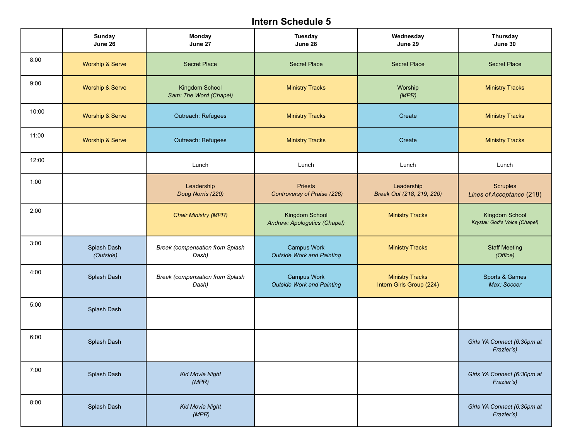|       | <b>Sunday</b><br>June 26   | Monday<br>June 27                               | Tuesday<br>June 28                                     | Wednesday<br>June 29                               | Thursday<br>June 30                             |
|-------|----------------------------|-------------------------------------------------|--------------------------------------------------------|----------------------------------------------------|-------------------------------------------------|
| 8:00  | <b>Worship &amp; Serve</b> | <b>Secret Place</b>                             | <b>Secret Place</b>                                    | <b>Secret Place</b>                                | <b>Secret Place</b>                             |
| 9:00  | <b>Worship &amp; Serve</b> | Kingdom School<br>Sam: The Word (Chapel)        | <b>Ministry Tracks</b>                                 | Worship<br>(MPR)                                   | <b>Ministry Tracks</b>                          |
| 10:00 | <b>Worship &amp; Serve</b> | Outreach: Refugees                              | <b>Ministry Tracks</b>                                 | Create                                             | <b>Ministry Tracks</b>                          |
| 11:00 | <b>Worship &amp; Serve</b> | Outreach: Refugees                              | <b>Ministry Tracks</b>                                 | Create                                             | <b>Ministry Tracks</b>                          |
| 12:00 |                            | Lunch                                           | Lunch                                                  | Lunch                                              | Lunch                                           |
| 1:00  |                            | Leadership<br>Doug Norris (220)                 | <b>Priests</b><br>Controversy of Praise (226)          | Leadership<br>Break Out (218, 219, 220)            | <b>Scruples</b><br>Lines of Acceptance (218)    |
| 2:00  |                            | <b>Chair Ministry (MPR)</b>                     | Kingdom School<br>Andrew: Apologetics (Chapel)         | <b>Ministry Tracks</b>                             | Kingdom School<br>Krystal: God's Voice (Chapel) |
| 3:00  | Splash Dash<br>(Outside)   | <b>Break (compensation from Splash</b><br>Dash) | <b>Campus Work</b><br><b>Outside Work and Painting</b> | <b>Ministry Tracks</b>                             | <b>Staff Meeting</b><br>(Office)                |
| 4:00  | Splash Dash                | Break (compensation from Splash<br>Dash)        | <b>Campus Work</b><br><b>Outside Work and Painting</b> | <b>Ministry Tracks</b><br>Intern Girls Group (224) | Sports & Games<br>Max: Soccer                   |
| 5:00  | Splash Dash                |                                                 |                                                        |                                                    |                                                 |
| 6:00  | Splash Dash                |                                                 |                                                        |                                                    | Girls YA Connect (6:30pm at<br>Frazier's)       |
| 7:00  | Splash Dash                | <b>Kid Movie Night</b><br>(MPR)                 |                                                        |                                                    | Girls YA Connect (6:30pm at<br>Frazier's)       |
| 8:00  | Splash Dash                | <b>Kid Movie Night</b><br>(MPR)                 |                                                        |                                                    | Girls YA Connect (6:30pm at<br>Frazier's)       |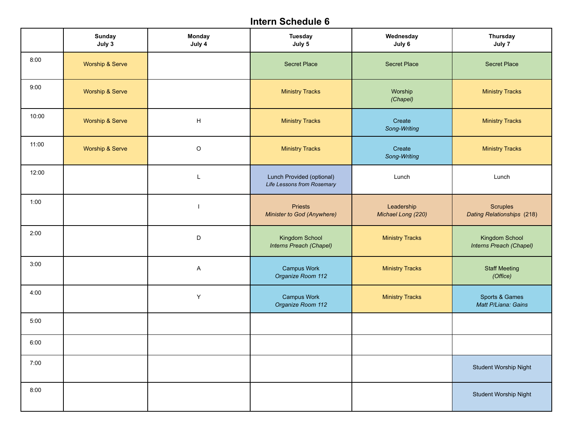|       | <b>Sunday</b><br>July 3 | <b>Monday</b><br>July 4 | <b>Tuesday</b><br>July 5                                | Wednesday<br>July 6              | <b>Thursday</b><br>July 7                 |
|-------|-------------------------|-------------------------|---------------------------------------------------------|----------------------------------|-------------------------------------------|
| 8:00  | Worship & Serve         |                         | <b>Secret Place</b>                                     | <b>Secret Place</b>              | <b>Secret Place</b>                       |
| 9:00  | Worship & Serve         |                         | <b>Ministry Tracks</b>                                  | Worship<br>(Chapel)              | <b>Ministry Tracks</b>                    |
| 10:00 | Worship & Serve         | H                       | <b>Ministry Tracks</b>                                  | Create<br>Song-Writing           | <b>Ministry Tracks</b>                    |
| 11:00 | Worship & Serve         | $\hbox{O}$              | <b>Ministry Tracks</b>                                  | Create<br>Song-Writing           | <b>Ministry Tracks</b>                    |
| 12:00 |                         | L                       | Lunch Provided (optional)<br>Life Lessons from Rosemary | Lunch                            | Lunch                                     |
| 1:00  |                         | $\mathbf{I}$            | <b>Priests</b><br>Minister to God (Anywhere)            | Leadership<br>Michael Long (220) | Scruples<br>Dating Relationships (218)    |
| 2:00  |                         | D                       | Kingdom School<br>Interns Preach (Chapel)               | <b>Ministry Tracks</b>           | Kingdom School<br>Interns Preach (Chapel) |
| 3:00  |                         | $\sf A$                 | Campus Work<br>Organize Room 112                        | <b>Ministry Tracks</b>           | <b>Staff Meeting</b><br>(Office)          |
| 4:00  |                         | Υ                       | <b>Campus Work</b><br>Organize Room 112                 | <b>Ministry Tracks</b>           | Sports & Games<br>Matt P/Liana: Gains     |
| 5:00  |                         |                         |                                                         |                                  |                                           |
| 6:00  |                         |                         |                                                         |                                  |                                           |
| 7:00  |                         |                         |                                                         |                                  | <b>Student Worship Night</b>              |
| 8:00  |                         |                         |                                                         |                                  | Student Worship Night                     |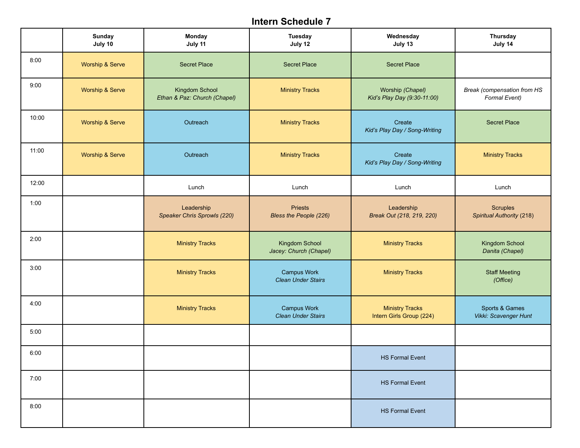|       | Sunday<br>July 10          | Monday<br>July 11                              | <b>Tuesday</b><br>July 12                       | Wednesday<br>July 13                               | Thursday<br>July 14                          |
|-------|----------------------------|------------------------------------------------|-------------------------------------------------|----------------------------------------------------|----------------------------------------------|
| 8:00  | Worship & Serve            | <b>Secret Place</b>                            | <b>Secret Place</b>                             | <b>Secret Place</b>                                |                                              |
| 9:00  | Worship & Serve            | Kingdom School<br>Ethan & Paz: Church (Chapel) | <b>Ministry Tracks</b>                          | Worship (Chapel)<br>Kid's Play Day (9:30-11:00)    | Break (compensation from HS<br>Formal Event) |
| 10:00 | Worship & Serve            | Outreach                                       | <b>Ministry Tracks</b>                          | Create<br>Kid's Play Day / Song-Writing            | <b>Secret Place</b>                          |
| 11:00 | <b>Worship &amp; Serve</b> | Outreach                                       | <b>Ministry Tracks</b>                          | Create<br>Kid's Play Day / Song-Writing            | <b>Ministry Tracks</b>                       |
| 12:00 |                            | Lunch                                          | Lunch                                           | Lunch                                              | Lunch                                        |
| 1:00  |                            | Leadership<br>Speaker Chris Sprowls (220)      | <b>Priests</b><br>Bless the People (226)        | Leadership<br>Break Out (218, 219, 220)            | <b>Scruples</b><br>Spiritual Authority (218) |
| 2:00  |                            | <b>Ministry Tracks</b>                         | Kingdom School<br>Jacey: Church (Chapel)        | <b>Ministry Tracks</b>                             | Kingdom School<br>Danita (Chapel)            |
| 3:00  |                            | <b>Ministry Tracks</b>                         | <b>Campus Work</b><br><b>Clean Under Stairs</b> | <b>Ministry Tracks</b>                             | <b>Staff Meeting</b><br>(Office)             |
| 4:00  |                            | <b>Ministry Tracks</b>                         | <b>Campus Work</b><br><b>Clean Under Stairs</b> | <b>Ministry Tracks</b><br>Intern Girls Group (224) | Sports & Games<br>Vikki: Scavenger Hunt      |
| 5:00  |                            |                                                |                                                 |                                                    |                                              |
| 6:00  |                            |                                                |                                                 | <b>HS Formal Event</b>                             |                                              |
| 7:00  |                            |                                                |                                                 | <b>HS Formal Event</b>                             |                                              |
| 8:00  |                            |                                                |                                                 | <b>HS Formal Event</b>                             |                                              |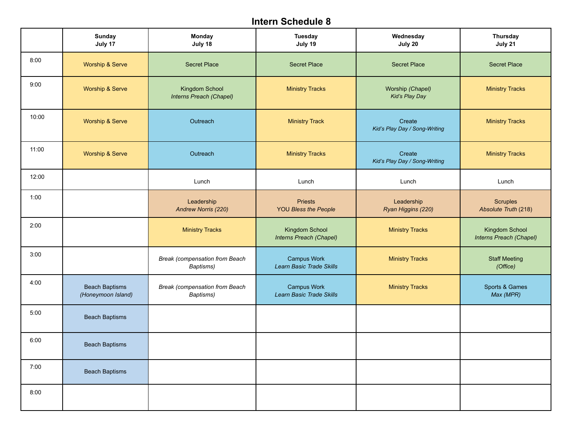|       | <b>Sunday</b><br>July 17                    | <b>Monday</b><br>July 18                           | <b>Tuesday</b><br>July 19                      | Wednesday<br>July 20                    | Thursday<br>July 21                       |
|-------|---------------------------------------------|----------------------------------------------------|------------------------------------------------|-----------------------------------------|-------------------------------------------|
| 8:00  | <b>Worship &amp; Serve</b>                  | <b>Secret Place</b>                                | <b>Secret Place</b>                            | <b>Secret Place</b>                     | <b>Secret Place</b>                       |
| 9:00  | Worship & Serve                             | <b>Kingdom School</b><br>Interns Preach (Chapel)   | <b>Ministry Tracks</b>                         | Worship (Chapel)<br>Kid's Play Day      | <b>Ministry Tracks</b>                    |
| 10:00 | <b>Worship &amp; Serve</b>                  | Outreach                                           | <b>Ministry Track</b>                          | Create<br>Kid's Play Day / Song-Writing | <b>Ministry Tracks</b>                    |
| 11:00 | Worship & Serve                             | Outreach                                           | <b>Ministry Tracks</b>                         | Create<br>Kid's Play Day / Song-Writing | <b>Ministry Tracks</b>                    |
| 12:00 |                                             | Lunch                                              | Lunch                                          | Lunch                                   | Lunch                                     |
| 1:00  |                                             | Leadership<br>Andrew Norris (220)                  | <b>Priests</b><br><b>YOU Bless the People</b>  | Leadership<br>Ryan Higgins (220)        | <b>Scruples</b><br>Absolute Truth (218)   |
| 2:00  |                                             | <b>Ministry Tracks</b>                             | Kingdom School<br>Interns Preach (Chapel)      | <b>Ministry Tracks</b>                  | Kingdom School<br>Interns Preach (Chapel) |
| 3:00  |                                             | <b>Break (compensation from Beach</b><br>Baptisms) | <b>Campus Work</b><br>Learn Basic Trade Skills | <b>Ministry Tracks</b>                  | <b>Staff Meeting</b><br>(Office)          |
| 4:00  | <b>Beach Baptisms</b><br>(Honeymoon Island) | <b>Break (compensation from Beach</b><br>Baptisms) | <b>Campus Work</b><br>Learn Basic Trade Skills | <b>Ministry Tracks</b>                  | Sports & Games<br>Max (MPR)               |
| 5:00  | <b>Beach Baptisms</b>                       |                                                    |                                                |                                         |                                           |
| 6:00  | <b>Beach Baptisms</b>                       |                                                    |                                                |                                         |                                           |
| 7:00  | <b>Beach Baptisms</b>                       |                                                    |                                                |                                         |                                           |
| 8:00  |                                             |                                                    |                                                |                                         |                                           |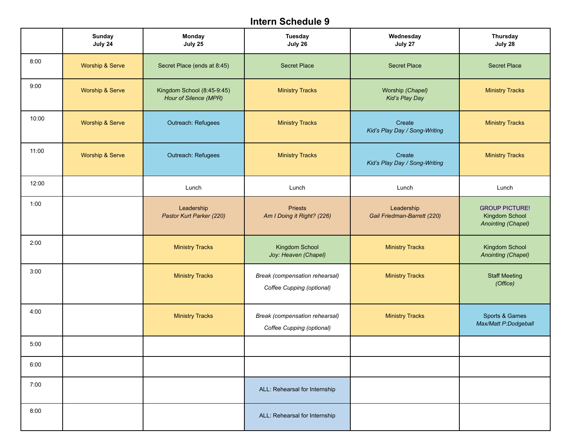|       | <b>Sunday</b><br>July 24   | <b>Monday</b><br>July 25                            | <b>Tuesday</b><br>July 26                                   | Wednesday<br>July 27                      | <b>Thursday</b><br>July 28                                    |
|-------|----------------------------|-----------------------------------------------------|-------------------------------------------------------------|-------------------------------------------|---------------------------------------------------------------|
| 8:00  | Worship & Serve            | Secret Place (ends at 8:45)                         | <b>Secret Place</b>                                         | <b>Secret Place</b>                       | <b>Secret Place</b>                                           |
| 9:00  | <b>Worship &amp; Serve</b> | Kingdom School (8:45-9:45)<br>Hour of Silence (MPR) | <b>Ministry Tracks</b>                                      | Worship (Chapel)<br>Kid's Play Day        | <b>Ministry Tracks</b>                                        |
| 10:00 | Worship & Serve            | Outreach: Refugees                                  | <b>Ministry Tracks</b>                                      | Create<br>Kid's Play Day / Song-Writing   | <b>Ministry Tracks</b>                                        |
| 11:00 | <b>Worship &amp; Serve</b> | Outreach: Refugees                                  | <b>Ministry Tracks</b>                                      | Create<br>Kid's Play Day / Song-Writing   | <b>Ministry Tracks</b>                                        |
| 12:00 |                            | Lunch                                               | Lunch                                                       | Lunch                                     | Lunch                                                         |
| 1:00  |                            | Leadership<br>Pastor Kurt Parker (220)              | <b>Priests</b><br>Am I Doing it Right? (226)                | Leadership<br>Gail Friedman-Barrett (220) | <b>GROUP PICTURE!</b><br>Kingdom School<br>Anointing (Chapel) |
| 2:00  |                            | <b>Ministry Tracks</b>                              | Kingdom School<br>Joy: Heaven (Chapel)                      | <b>Ministry Tracks</b>                    | Kingdom School<br>Anointing (Chapel)                          |
| 3:00  |                            | <b>Ministry Tracks</b>                              | Break (compensation rehearsal)<br>Coffee Cupping (optional) | <b>Ministry Tracks</b>                    | <b>Staff Meeting</b><br>(Office)                              |
| 4:00  |                            | <b>Ministry Tracks</b>                              | Break (compensation rehearsal)<br>Coffee Cupping (optional) | <b>Ministry Tracks</b>                    | Sports & Games<br>Max/Matt P:Dodgeball                        |
| 5:00  |                            |                                                     |                                                             |                                           |                                                               |
| 6:00  |                            |                                                     |                                                             |                                           |                                                               |
| 7:00  |                            |                                                     | ALL: Rehearsal for Internship                               |                                           |                                                               |
| 8:00  |                            |                                                     | ALL: Rehearsal for Internship                               |                                           |                                                               |